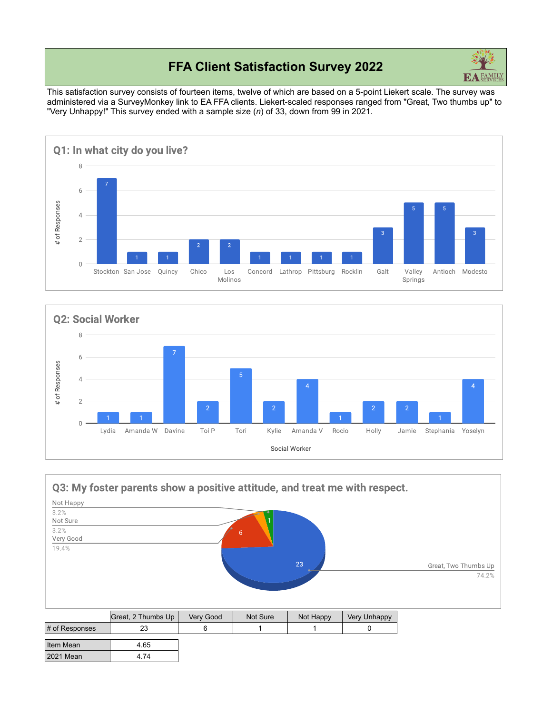# **FFA Client Satisfaction Survey 2022**



This satisfaction survey consists of fourteen items, twelve of which are based on a 5-point Liekert scale. The survey was administered via a SurveyMonkey link to EA FFA clients. Liekert-scaled responses ranged from "Great, Two thumbs up" to "Very Unhappy!" This survey ended with a sample size (*n*) of 33, down from 99 in 2021.





#### Q3: My foster parents show a positive attitude, and treat me with respect.

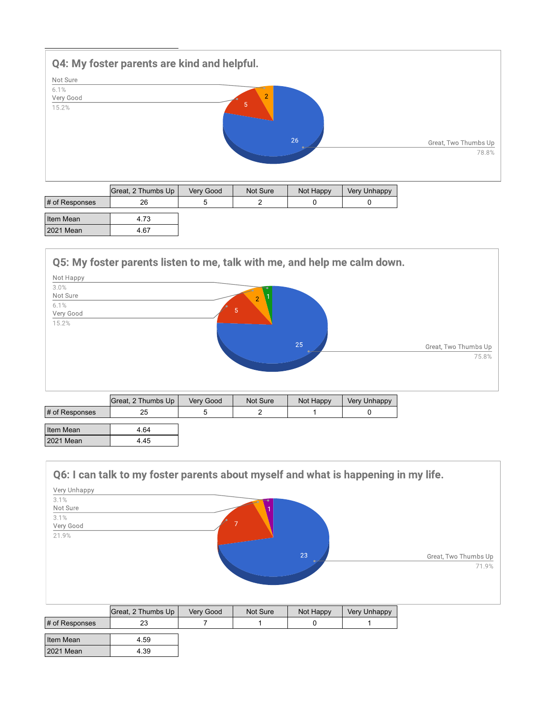

| Item Mean |    |
|-----------|----|
| 2021 Mean | 67 |

### Q5: My foster parents listen to me, talk with me, and help me calm down.



|                | Great, 2 Thumbs Up | Very Good | Not Sure | Not Happy | Very Unhappy |
|----------------|--------------------|-----------|----------|-----------|--------------|
| # of Responses | 25                 |           |          |           |              |
| Item Mean      | 4.64               |           |          |           |              |
| 2021 Mean      | 4.45               |           |          |           |              |

### Q6: I can talk to my foster parents about myself and what is happening in my life.

| Very Unhappy<br>3.1% |    |                      |
|----------------------|----|----------------------|
| Not Sure             |    |                      |
| 3.1%<br>Very Good    |    |                      |
| 21.9%                |    |                      |
|                      | 23 | Great, Two Thumbs Up |
|                      |    | 71.9%                |
|                      |    |                      |
|                      |    |                      |

|                   | Great, 2 Thumbs Up | Very Good | Not Sure | Not Happy | Very Unhappy |
|-------------------|--------------------|-----------|----------|-----------|--------------|
| $\#$ of Responses |                    |           |          |           |              |
|                   |                    |           |          |           |              |
| Item Mean         | 4.59               |           |          |           |              |
| 2021 Mean         | 4.39               |           |          |           |              |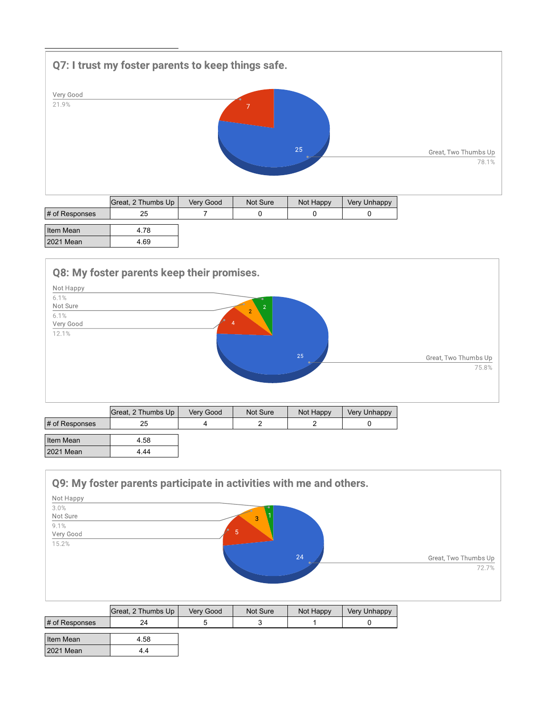

|                | Great, 2 Thumbs Up | Verv Good | Not Sure | Not Happy | <b>Very Unhappy</b> |
|----------------|--------------------|-----------|----------|-----------|---------------------|
| # of Responses | 25                 |           |          |           |                     |
| Item Mean      | 4.78               |           |          |           |                     |
| 2021 Mean      | 4.69               |           |          |           |                     |







|                | Great, 2 Thumbs Up | Very Good | Not Sure | Not Happy | <b>Very Unhappy</b> |
|----------------|--------------------|-----------|----------|-----------|---------------------|
| # of Responses | 24                 |           |          |           |                     |
| Item Mean      | 4.58               |           |          |           |                     |
| 2021 Mean      | 4.4                |           |          |           |                     |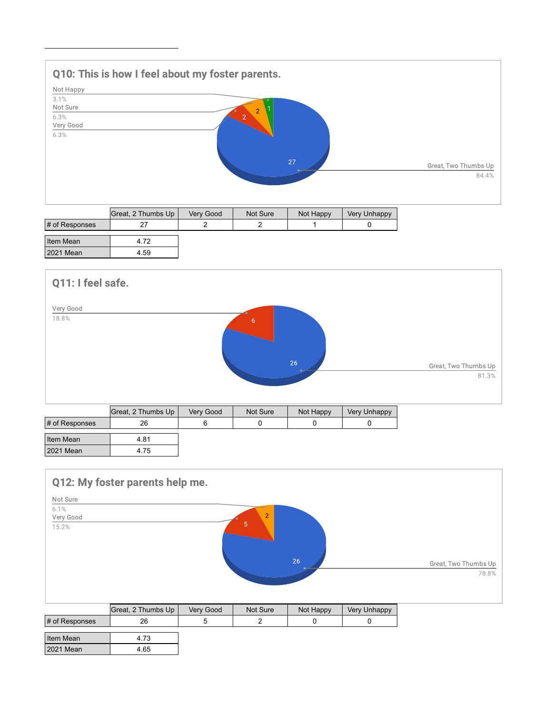# Q10: This is how I feel about my foster parents. Not Happy  $3.1%$ Not Sure 6.3% Very Good  $6.3%$ Great, Two Thumbs Up 84.4%

|                       | Great, 2 Thumbs Up | Verv Good | Not Sure | Not Happy | Very Unhappy |
|-----------------------|--------------------|-----------|----------|-----------|--------------|
| $\sharp$ of Responses |                    |           |          |           |              |
| Item Mean             | 4.72               |           |          |           |              |
| 2021 Mean             | 4.59               |           |          |           |              |



### Q12: My foster parents help me.



|                   | Great, 2 Thumbs Up | Very Good | Not Sure | Not Happy | Very Unhappy |
|-------------------|--------------------|-----------|----------|-----------|--------------|
| $\#$ of Responses | 26                 |           |          |           |              |
|                   |                    |           |          |           |              |
| Item Mean         | 4.73               |           |          |           |              |
| 2021 Mean         | 4.65               |           |          |           |              |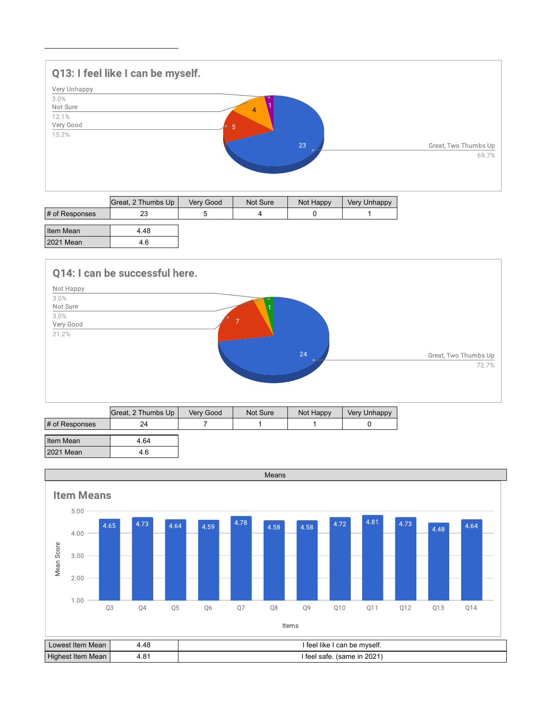## Q13: I feel like I can be myself. Very Unhappy  $3.0%$ Not Sure 12.1% Very Good 15.2% Great, Two Thumbs Up 69.7%

|                | Great, 2 Thumbs Up | Very Good | Not Sure | Not Happy | Very Unhappy |
|----------------|--------------------|-----------|----------|-----------|--------------|
| # of Responses | 23                 |           |          |           |              |
| Item Mean      | 4.48               |           |          |           |              |
| 2021 Mean      | 4.6                |           |          |           |              |

### Q14: I can be successful here.